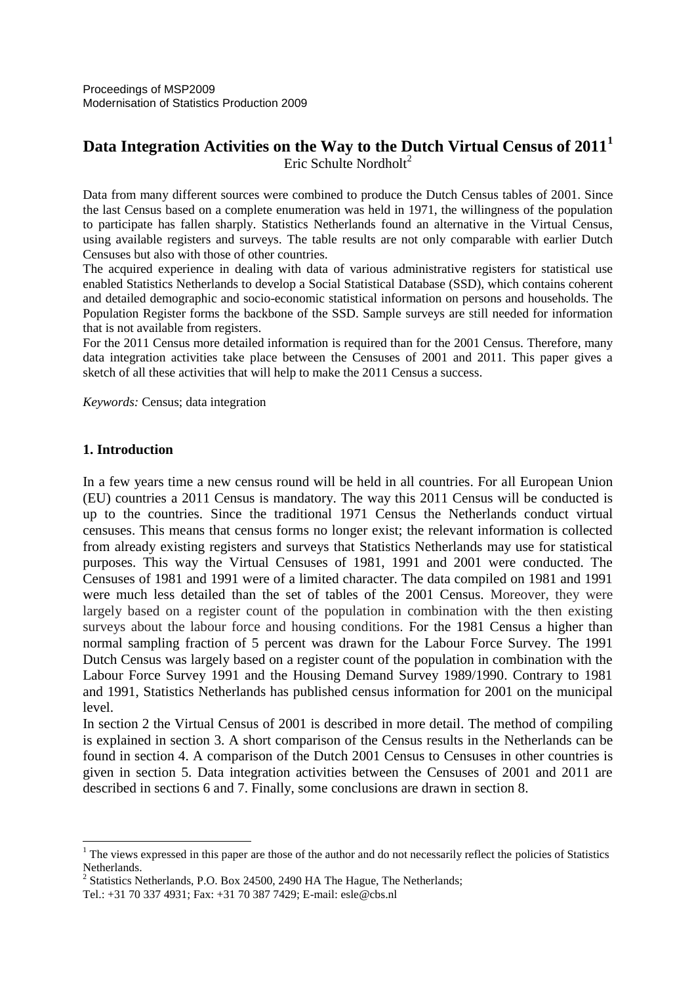# **Data Integration Activities on the Way to the Dutch Virtual Census of 2011<sup>1</sup>** Eric Schulte Nordholt<sup>2</sup>

Data from many different sources were combined to produce the Dutch Census tables of 2001. Since the last Census based on a complete enumeration was held in 1971, the willingness of the population to participate has fallen sharply. Statistics Netherlands found an alternative in the Virtual Census, using available registers and surveys. The table results are not only comparable with earlier Dutch Censuses but also with those of other countries.

The acquired experience in dealing with data of various administrative registers for statistical use enabled Statistics Netherlands to develop a Social Statistical Database (SSD), which contains coherent and detailed demographic and socio-economic statistical information on persons and households. The Population Register forms the backbone of the SSD. Sample surveys are still needed for information that is not available from registers.

For the 2011 Census more detailed information is required than for the 2001 Census. Therefore, many data integration activities take place between the Censuses of 2001 and 2011. This paper gives a sketch of all these activities that will help to make the 2011 Census a success.

*Keywords:* Census; data integration

# **1. Introduction**

 $\overline{a}$ 

In a few years time a new census round will be held in all countries. For all European Union (EU) countries a 2011 Census is mandatory. The way this 2011 Census will be conducted is up to the countries. Since the traditional 1971 Census the Netherlands conduct virtual censuses. This means that census forms no longer exist; the relevant information is collected from already existing registers and surveys that Statistics Netherlands may use for statistical purposes. This way the Virtual Censuses of 1981, 1991 and 2001 were conducted. The Censuses of 1981 and 1991 were of a limited character. The data compiled on 1981 and 1991 were much less detailed than the set of tables of the 2001 Census. Moreover, they were largely based on a register count of the population in combination with the then existing surveys about the labour force and housing conditions. For the 1981 Census a higher than normal sampling fraction of 5 percent was drawn for the Labour Force Survey. The 1991 Dutch Census was largely based on a register count of the population in combination with the Labour Force Survey 1991 and the Housing Demand Survey 1989/1990. Contrary to 1981 and 1991, Statistics Netherlands has published census information for 2001 on the municipal level.

In section 2 the Virtual Census of 2001 is described in more detail. The method of compiling is explained in section 3. A short comparison of the Census results in the Netherlands can be found in section 4. A comparison of the Dutch 2001 Census to Censuses in other countries is given in section 5. Data integration activities between the Censuses of 2001 and 2011 are described in sections 6 and 7. Finally, some conclusions are drawn in section 8.

<sup>&</sup>lt;sup>1</sup> The views expressed in this paper are those of the author and do not necessarily reflect the policies of Statistics Netherlands.

 $2^{2}$  Statistics Netherlands, P.O. Box 24500, 2490 HA The Hague, The Netherlands;

Tel.: +31 70 337 4931; Fax: +31 70 387 7429; E-mail: esle@cbs.nl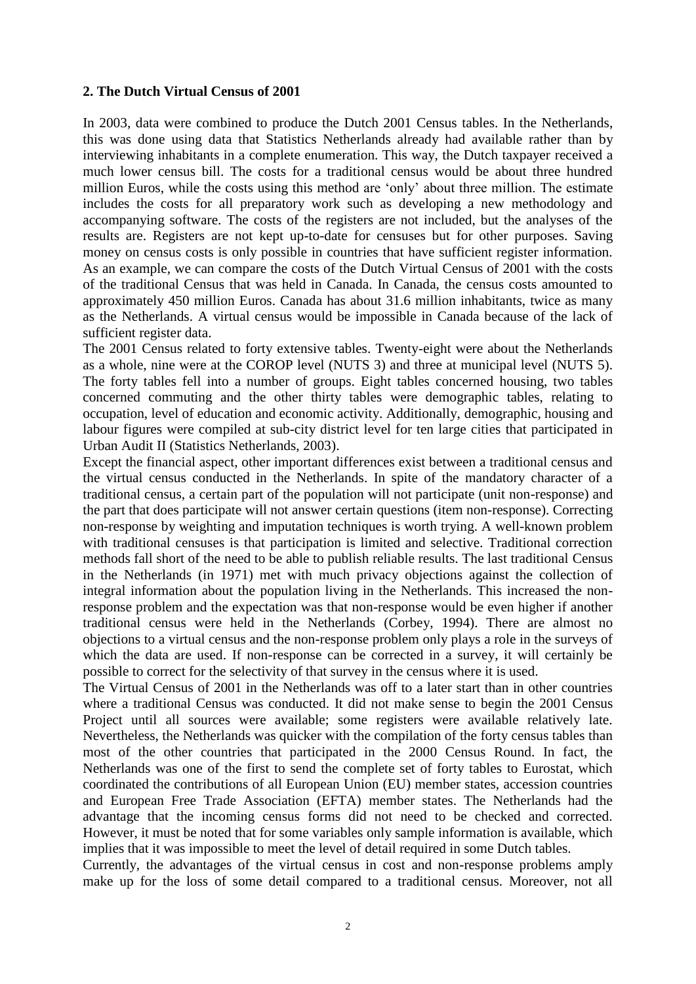### **2. The Dutch Virtual Census of 2001**

In 2003, data were combined to produce the Dutch 2001 Census tables. In the Netherlands, this was done using data that Statistics Netherlands already had available rather than by interviewing inhabitants in a complete enumeration. This way, the Dutch taxpayer received a much lower census bill. The costs for a traditional census would be about three hundred million Euros, while the costs using this method are 'only' about three million. The estimate includes the costs for all preparatory work such as developing a new methodology and accompanying software. The costs of the registers are not included, but the analyses of the results are. Registers are not kept up-to-date for censuses but for other purposes. Saving money on census costs is only possible in countries that have sufficient register information. As an example, we can compare the costs of the Dutch Virtual Census of 2001 with the costs of the traditional Census that was held in Canada. In Canada, the census costs amounted to approximately 450 million Euros. Canada has about 31.6 million inhabitants, twice as many as the Netherlands. A virtual census would be impossible in Canada because of the lack of sufficient register data.

The 2001 Census related to forty extensive tables. Twenty-eight were about the Netherlands as a whole, nine were at the COROP level (NUTS 3) and three at municipal level (NUTS 5). The forty tables fell into a number of groups. Eight tables concerned housing, two tables concerned commuting and the other thirty tables were demographic tables, relating to occupation, level of education and economic activity. Additionally, demographic, housing and labour figures were compiled at sub-city district level for ten large cities that participated in Urban Audit II (Statistics Netherlands, 2003).

Except the financial aspect, other important differences exist between a traditional census and the virtual census conducted in the Netherlands. In spite of the mandatory character of a traditional census, a certain part of the population will not participate (unit non-response) and the part that does participate will not answer certain questions (item non-response). Correcting non-response by weighting and imputation techniques is worth trying. A well-known problem with traditional censuses is that participation is limited and selective. Traditional correction methods fall short of the need to be able to publish reliable results. The last traditional Census in the Netherlands (in 1971) met with much privacy objections against the collection of integral information about the population living in the Netherlands. This increased the nonresponse problem and the expectation was that non-response would be even higher if another traditional census were held in the Netherlands (Corbey, 1994). There are almost no objections to a virtual census and the non-response problem only plays a role in the surveys of which the data are used. If non-response can be corrected in a survey, it will certainly be possible to correct for the selectivity of that survey in the census where it is used.

The Virtual Census of 2001 in the Netherlands was off to a later start than in other countries where a traditional Census was conducted. It did not make sense to begin the 2001 Census Project until all sources were available; some registers were available relatively late. Nevertheless, the Netherlands was quicker with the compilation of the forty census tables than most of the other countries that participated in the 2000 Census Round. In fact, the Netherlands was one of the first to send the complete set of forty tables to Eurostat, which coordinated the contributions of all European Union (EU) member states, accession countries and European Free Trade Association (EFTA) member states. The Netherlands had the advantage that the incoming census forms did not need to be checked and corrected. However, it must be noted that for some variables only sample information is available, which implies that it was impossible to meet the level of detail required in some Dutch tables.

Currently, the advantages of the virtual census in cost and non-response problems amply make up for the loss of some detail compared to a traditional census. Moreover, not all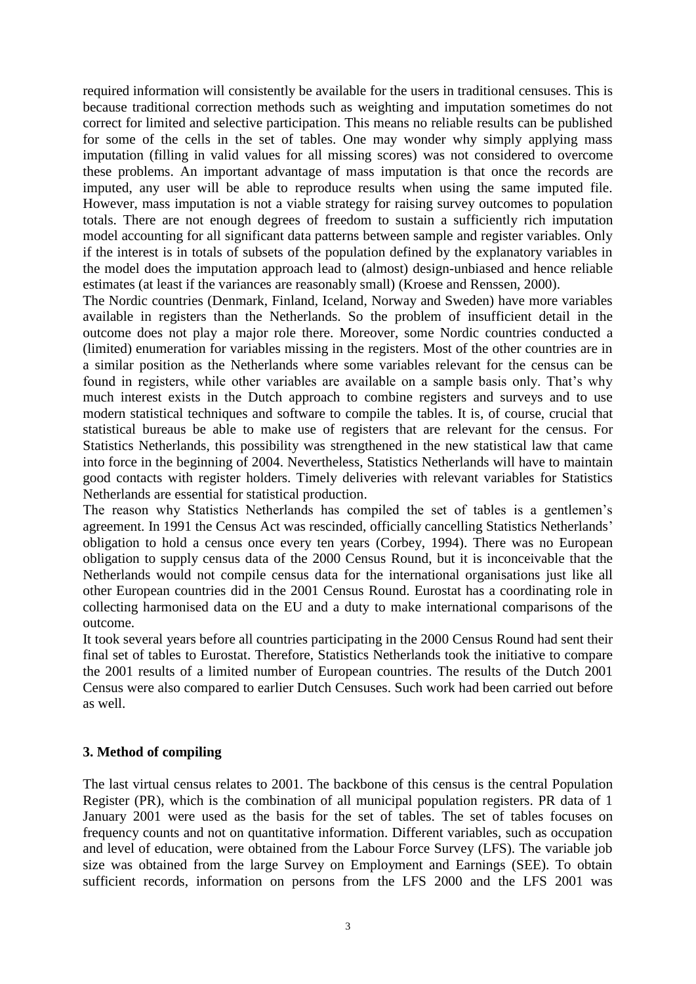required information will consistently be available for the users in traditional censuses. This is because traditional correction methods such as weighting and imputation sometimes do not correct for limited and selective participation. This means no reliable results can be published for some of the cells in the set of tables. One may wonder why simply applying mass imputation (filling in valid values for all missing scores) was not considered to overcome these problems. An important advantage of mass imputation is that once the records are imputed, any user will be able to reproduce results when using the same imputed file. However, mass imputation is not a viable strategy for raising survey outcomes to population totals. There are not enough degrees of freedom to sustain a sufficiently rich imputation model accounting for all significant data patterns between sample and register variables. Only if the interest is in totals of subsets of the population defined by the explanatory variables in the model does the imputation approach lead to (almost) design-unbiased and hence reliable estimates (at least if the variances are reasonably small) (Kroese and Renssen, 2000).

The Nordic countries (Denmark, Finland, Iceland, Norway and Sweden) have more variables available in registers than the Netherlands. So the problem of insufficient detail in the outcome does not play a major role there. Moreover, some Nordic countries conducted a (limited) enumeration for variables missing in the registers. Most of the other countries are in a similar position as the Netherlands where some variables relevant for the census can be found in registers, while other variables are available on a sample basis only. That's why much interest exists in the Dutch approach to combine registers and surveys and to use modern statistical techniques and software to compile the tables. It is, of course, crucial that statistical bureaus be able to make use of registers that are relevant for the census. For Statistics Netherlands, this possibility was strengthened in the new statistical law that came into force in the beginning of 2004. Nevertheless, Statistics Netherlands will have to maintain good contacts with register holders. Timely deliveries with relevant variables for Statistics Netherlands are essential for statistical production.

The reason why Statistics Netherlands has compiled the set of tables is a gentlemen's agreement. In 1991 the Census Act was rescinded, officially cancelling Statistics Netherlands' obligation to hold a census once every ten years (Corbey, 1994). There was no European obligation to supply census data of the 2000 Census Round, but it is inconceivable that the Netherlands would not compile census data for the international organisations just like all other European countries did in the 2001 Census Round. Eurostat has a coordinating role in collecting harmonised data on the EU and a duty to make international comparisons of the outcome.

It took several years before all countries participating in the 2000 Census Round had sent their final set of tables to Eurostat. Therefore, Statistics Netherlands took the initiative to compare the 2001 results of a limited number of European countries. The results of the Dutch 2001 Census were also compared to earlier Dutch Censuses. Such work had been carried out before as well.

# **3. Method of compiling**

The last virtual census relates to 2001. The backbone of this census is the central Population Register (PR), which is the combination of all municipal population registers. PR data of 1 January 2001 were used as the basis for the set of tables. The set of tables focuses on frequency counts and not on quantitative information. Different variables, such as occupation and level of education, were obtained from the Labour Force Survey (LFS). The variable job size was obtained from the large Survey on Employment and Earnings (SEE). To obtain sufficient records, information on persons from the LFS 2000 and the LFS 2001 was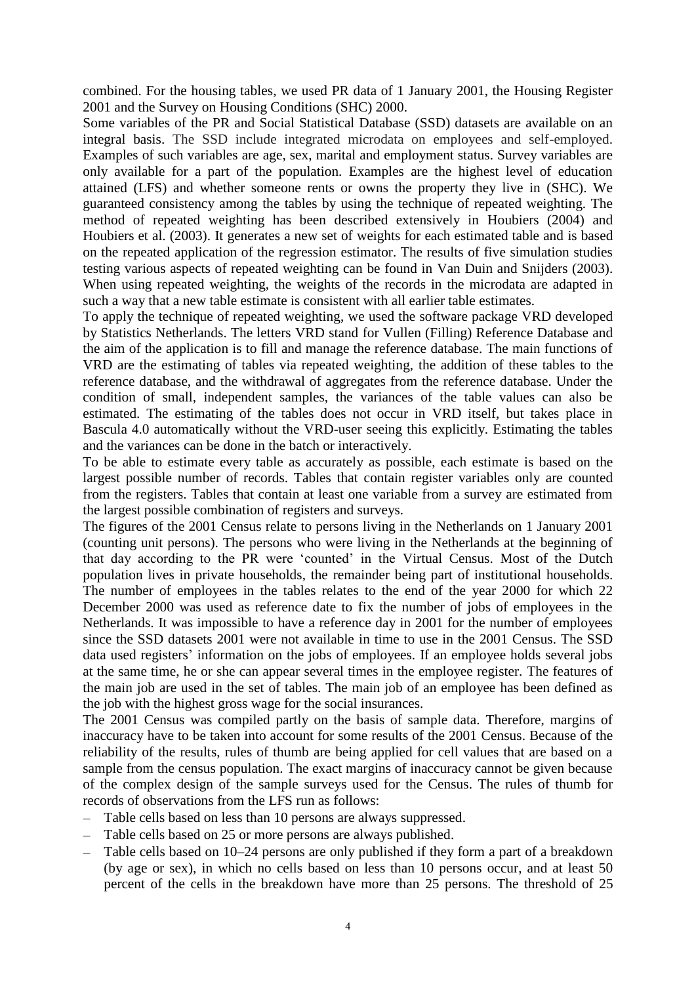combined. For the housing tables, we used PR data of 1 January 2001, the Housing Register 2001 and the Survey on Housing Conditions (SHC) 2000.

Some variables of the PR and Social Statistical Database (SSD) datasets are available on an integral basis. The SSD include integrated microdata on employees and self-employed. Examples of such variables are age, sex, marital and employment status. Survey variables are only available for a part of the population. Examples are the highest level of education attained (LFS) and whether someone rents or owns the property they live in (SHC). We guaranteed consistency among the tables by using the technique of repeated weighting. The method of repeated weighting has been described extensively in Houbiers (2004) and Houbiers et al. (2003). It generates a new set of weights for each estimated table and is based on the repeated application of the regression estimator. The results of five simulation studies testing various aspects of repeated weighting can be found in Van Duin and Snijders (2003). When using repeated weighting, the weights of the records in the microdata are adapted in such a way that a new table estimate is consistent with all earlier table estimates.

To apply the technique of repeated weighting, we used the software package VRD developed by Statistics Netherlands. The letters VRD stand for Vullen (Filling) Reference Database and the aim of the application is to fill and manage the reference database. The main functions of VRD are the estimating of tables via repeated weighting, the addition of these tables to the reference database, and the withdrawal of aggregates from the reference database. Under the condition of small, independent samples, the variances of the table values can also be estimated. The estimating of the tables does not occur in VRD itself, but takes place in Bascula 4.0 automatically without the VRD-user seeing this explicitly. Estimating the tables and the variances can be done in the batch or interactively.

To be able to estimate every table as accurately as possible, each estimate is based on the largest possible number of records. Tables that contain register variables only are counted from the registers. Tables that contain at least one variable from a survey are estimated from the largest possible combination of registers and surveys.

The figures of the 2001 Census relate to persons living in the Netherlands on 1 January 2001 (counting unit persons). The persons who were living in the Netherlands at the beginning of that day according to the PR were 'counted' in the Virtual Census. Most of the Dutch population lives in private households, the remainder being part of institutional households. The number of employees in the tables relates to the end of the year 2000 for which 22 December 2000 was used as reference date to fix the number of jobs of employees in the Netherlands. It was impossible to have a reference day in 2001 for the number of employees since the SSD datasets 2001 were not available in time to use in the 2001 Census. The SSD data used registers' information on the jobs of employees. If an employee holds several jobs at the same time, he or she can appear several times in the employee register. The features of the main job are used in the set of tables. The main job of an employee has been defined as the job with the highest gross wage for the social insurances.

The 2001 Census was compiled partly on the basis of sample data. Therefore, margins of inaccuracy have to be taken into account for some results of the 2001 Census. Because of the reliability of the results, rules of thumb are being applied for cell values that are based on a sample from the census population. The exact margins of inaccuracy cannot be given because of the complex design of the sample surveys used for the Census. The rules of thumb for records of observations from the LFS run as follows:

- Table cells based on less than 10 persons are always suppressed.
- Table cells based on 25 or more persons are always published.
- Table cells based on 10–24 persons are only published if they form a part of a breakdown (by age or sex), in which no cells based on less than 10 persons occur, and at least 50 percent of the cells in the breakdown have more than 25 persons. The threshold of 25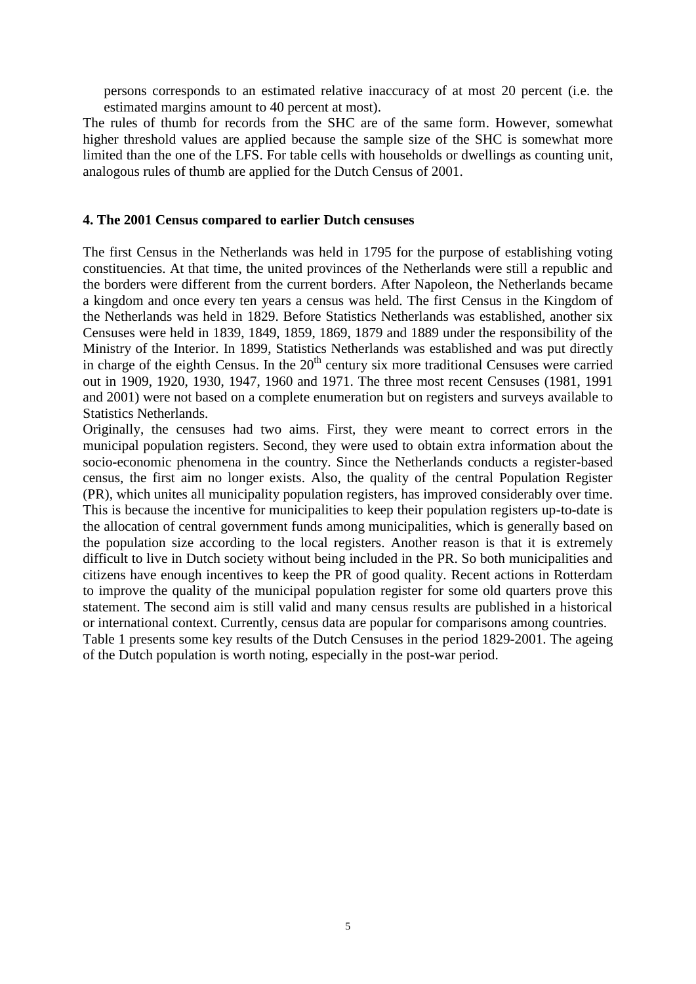persons corresponds to an estimated relative inaccuracy of at most 20 percent (i.e. the estimated margins amount to 40 percent at most).

The rules of thumb for records from the SHC are of the same form. However, somewhat higher threshold values are applied because the sample size of the SHC is somewhat more limited than the one of the LFS. For table cells with households or dwellings as counting unit, analogous rules of thumb are applied for the Dutch Census of 2001.

#### **4. The 2001 Census compared to earlier Dutch censuses**

The first Census in the Netherlands was held in 1795 for the purpose of establishing voting constituencies. At that time, the united provinces of the Netherlands were still a republic and the borders were different from the current borders. After Napoleon, the Netherlands became a kingdom and once every ten years a census was held. The first Census in the Kingdom of the Netherlands was held in 1829. Before Statistics Netherlands was established, another six Censuses were held in 1839, 1849, 1859, 1869, 1879 and 1889 under the responsibility of the Ministry of the Interior. In 1899, Statistics Netherlands was established and was put directly in charge of the eighth Census. In the  $20<sup>th</sup>$  century six more traditional Censuses were carried out in 1909, 1920, 1930, 1947, 1960 and 1971. The three most recent Censuses (1981, 1991 and 2001) were not based on a complete enumeration but on registers and surveys available to Statistics Netherlands.

Originally, the censuses had two aims. First, they were meant to correct errors in the municipal population registers. Second, they were used to obtain extra information about the socio-economic phenomena in the country. Since the Netherlands conducts a register-based census, the first aim no longer exists. Also, the quality of the central Population Register (PR), which unites all municipality population registers, has improved considerably over time. This is because the incentive for municipalities to keep their population registers up-to-date is the allocation of central government funds among municipalities, which is generally based on the population size according to the local registers. Another reason is that it is extremely difficult to live in Dutch society without being included in the PR. So both municipalities and citizens have enough incentives to keep the PR of good quality. Recent actions in Rotterdam to improve the quality of the municipal population register for some old quarters prove this statement. The second aim is still valid and many census results are published in a historical or international context. Currently, census data are popular for comparisons among countries. Table 1 presents some key results of the Dutch Censuses in the period 1829-2001. The ageing of the Dutch population is worth noting, especially in the post-war period.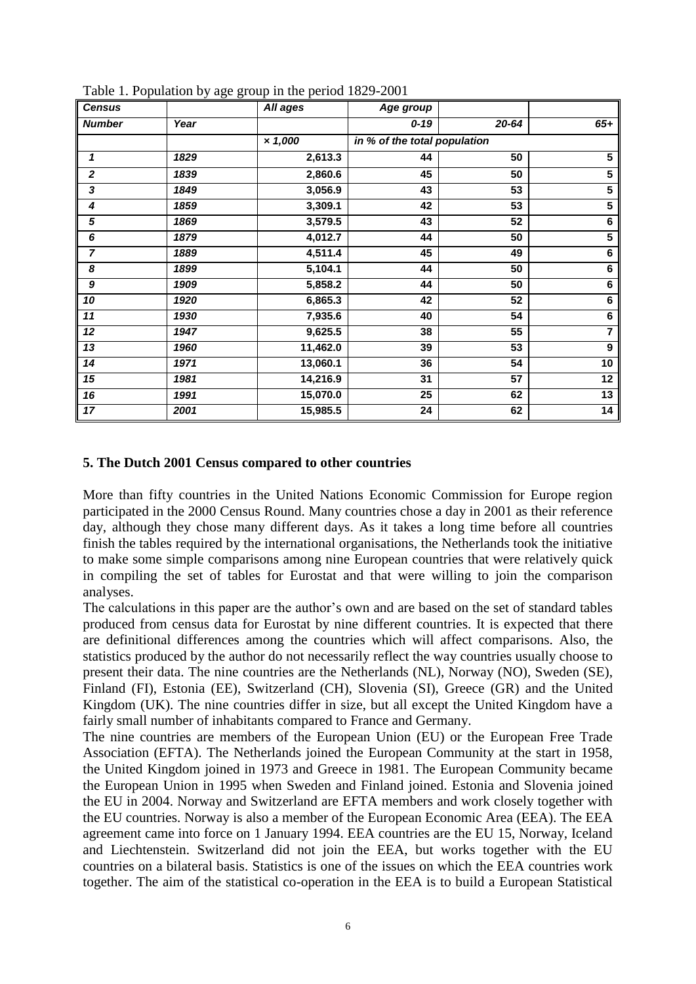| <b>Census</b>    |      | rable 1. I optimum by age group in the period $1027-2001$<br>All ages | Age group                    |           |                         |
|------------------|------|-----------------------------------------------------------------------|------------------------------|-----------|-------------------------|
| <b>Number</b>    | Year |                                                                       | $0 - 19$                     | $20 - 64$ | $65+$                   |
|                  |      | $\times 1,000$                                                        | in % of the total population |           |                         |
| 1                | 1829 | 2,613.3                                                               | 44                           | 50        | $5\phantom{.0}$         |
| $\boldsymbol{2}$ | 1839 | 2,860.6                                                               | 45                           | 50        | $5\phantom{1}$          |
| 3                | 1849 | 3,056.9                                                               | 43                           | 53        | 5                       |
| 4                | 1859 | 3,309.1                                                               | 42                           | 53        | $\overline{\mathbf{5}}$ |
| 5                | 1869 | 3,579.5                                                               | 43                           | 52        | 6                       |
| 6                | 1879 | 4,012.7                                                               | 44                           | 50        | $\overline{\mathbf{5}}$ |
| $\overline{7}$   | 1889 | 4,511.4                                                               | 45                           | 49        | 6                       |
| 8                | 1899 | 5,104.1                                                               | 44                           | 50        | 6                       |
| 9                | 1909 | 5,858.2                                                               | 44                           | 50        | 6                       |
| 10               | 1920 | 6,865.3                                                               | 42                           | 52        | 6                       |
| 11               | 1930 | 7,935.6                                                               | 40                           | 54        | $\bf 6$                 |
| 12               | 1947 | 9,625.5                                                               | 38                           | 55        | $\overline{\mathbf{7}}$ |
| $\overline{13}$  | 1960 | 11,462.0                                                              | 39                           | 53        | $\boldsymbol{9}$        |
| 14               | 1971 | 13,060.1                                                              | 36                           | 54        | 10                      |
| 15               | 1981 | 14,216.9                                                              | 31                           | 57        | 12                      |
| 16               | 1991 | 15,070.0                                                              | 25                           | 62        | 13                      |
| 17               | 2001 | 15,985.5                                                              | 24                           | 62        | 14                      |

Table 1. Population by age group in the period 1829-2001

#### **5. The Dutch 2001 Census compared to other countries**

More than fifty countries in the United Nations Economic Commission for Europe region participated in the 2000 Census Round. Many countries chose a day in 2001 as their reference day, although they chose many different days. As it takes a long time before all countries finish the tables required by the international organisations, the Netherlands took the initiative to make some simple comparisons among nine European countries that were relatively quick in compiling the set of tables for Eurostat and that were willing to join the comparison analyses.

The calculations in this paper are the author's own and are based on the set of standard tables produced from census data for Eurostat by nine different countries. It is expected that there are definitional differences among the countries which will affect comparisons. Also, the statistics produced by the author do not necessarily reflect the way countries usually choose to present their data. The nine countries are the Netherlands (NL), Norway (NO), Sweden (SE), Finland (FI), Estonia (EE), Switzerland (CH), Slovenia (SI), Greece (GR) and the United Kingdom (UK). The nine countries differ in size, but all except the United Kingdom have a fairly small number of inhabitants compared to France and Germany.

The nine countries are members of the European Union (EU) or the European Free Trade Association (EFTA). The Netherlands joined the European Community at the start in 1958, the United Kingdom joined in 1973 and Greece in 1981. The European Community became the European Union in 1995 when Sweden and Finland joined. Estonia and Slovenia joined the EU in 2004. Norway and Switzerland are EFTA members and work closely together with the EU countries. Norway is also a member of the European Economic Area (EEA). The EEA agreement came into force on 1 January 1994. EEA countries are the EU 15, Norway, Iceland and Liechtenstein. Switzerland did not join the EEA, but works together with the EU countries on a bilateral basis. Statistics is one of the issues on which the EEA countries work together. The aim of the statistical co-operation in the EEA is to build a European Statistical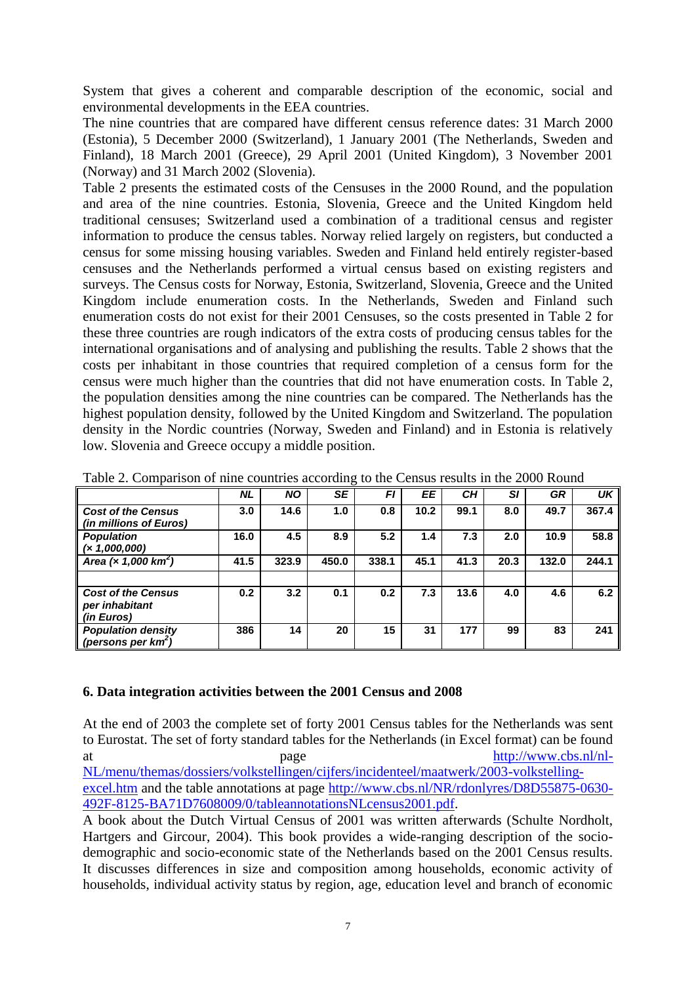System that gives a coherent and comparable description of the economic, social and environmental developments in the EEA countries.

The nine countries that are compared have different census reference dates: 31 March 2000 (Estonia), 5 December 2000 (Switzerland), 1 January 2001 (The Netherlands, Sweden and Finland), 18 March 2001 (Greece), 29 April 2001 (United Kingdom), 3 November 2001 (Norway) and 31 March 2002 (Slovenia).

Table 2 presents the estimated costs of the Censuses in the 2000 Round, and the population and area of the nine countries. Estonia, Slovenia, Greece and the United Kingdom held traditional censuses; Switzerland used a combination of a traditional census and register information to produce the census tables. Norway relied largely on registers, but conducted a census for some missing housing variables. Sweden and Finland held entirely register-based censuses and the Netherlands performed a virtual census based on existing registers and surveys. The Census costs for Norway, Estonia, Switzerland, Slovenia, Greece and the United Kingdom include enumeration costs. In the Netherlands, Sweden and Finland such enumeration costs do not exist for their 2001 Censuses, so the costs presented in Table 2 for these three countries are rough indicators of the extra costs of producing census tables for the international organisations and of analysing and publishing the results. Table 2 shows that the costs per inhabitant in those countries that required completion of a census form for the census were much higher than the countries that did not have enumeration costs. In Table 2, the population densities among the nine countries can be compared. The Netherlands has the highest population density, followed by the United Kingdom and Switzerland. The population density in the Nordic countries (Norway, Sweden and Finland) and in Estonia is relatively low. Slovenia and Greece occupy a middle position.

|                                                           | <b>NL</b> | <b>NO</b> | <b>SE</b> | FI    | EE   | CН   | SI   | <b>GR</b> | UK.   |
|-----------------------------------------------------------|-----------|-----------|-----------|-------|------|------|------|-----------|-------|
| <b>Cost of the Census</b><br>(in millions of Euros)       | 3.0       | 14.6      | 1.0       | 0.8   | 10.2 | 99.1 | 8.0  | 49.7      | 367.4 |
| <b>Population</b><br>(x 1,000,000)                        | 16.0      | 4.5       | 8.9       | 5.2   | 1.4  | 7.3  | 2.0  | 10.9      | 58.8  |
| Area $(\times 1,000$ km <sup>2</sup> )                    | 41.5      | 323.9     | 450.0     | 338.1 | 45.1 | 41.3 | 20.3 | 132.0     | 244.1 |
| <b>Cost of the Census</b><br>per inhabitant<br>(in Euros) | 0.2       | 3.2       | 0.1       | 0.2   | 7.3  | 13.6 | 4.0  | 4.6       | 6.2   |
| <b>Population density</b><br>(persons per $km^2$ )        | 386       | 14        | 20        | 15    | 31   | 177  | 99   | 83        | 241   |

Table 2. Comparison of nine countries according to the Census results in the 2000 Round

### **6. Data integration activities between the 2001 Census and 2008**

At the end of 2003 the complete set of forty 2001 Census tables for the Netherlands was sent to Eurostat. The set of forty standard tables for the Netherlands (in Excel format) can be found at page [http://www.cbs.nl/nl-](http://www.cbs.nl/nl-NL/menu/themas/dossiers/volkstellingen/cijfers/incidenteel/maatwerk/2003-volkstelling-excel.htm)[NL/menu/themas/dossiers/volkstellingen/cijfers/incidenteel/maatwerk/2003-volkstelling-](http://www.cbs.nl/nl-NL/menu/themas/dossiers/volkstellingen/cijfers/incidenteel/maatwerk/2003-volkstelling-excel.htm)

[excel.htm](http://www.cbs.nl/nl-NL/menu/themas/dossiers/volkstellingen/cijfers/incidenteel/maatwerk/2003-volkstelling-excel.htm) and the table annotations at page [http://www.cbs.nl/NR/rdonlyres/D8D55875-0630-](http://www.cbs.nl/NR/rdonlyres/D1716A60-0D13-4281-BED6-3607514888AD/0/b572001.pdf) [492F-8125-BA71D7608009/0/tableannotationsNLcensus2001.pdf.](http://www.cbs.nl/NR/rdonlyres/D1716A60-0D13-4281-BED6-3607514888AD/0/b572001.pdf)

A book about the Dutch Virtual Census of 2001 was written afterwards (Schulte Nordholt, Hartgers and Gircour, 2004). This book provides a wide-ranging description of the sociodemographic and socio-economic state of the Netherlands based on the 2001 Census results. It discusses differences in size and composition among households, economic activity of households, individual activity status by region, age, education level and branch of economic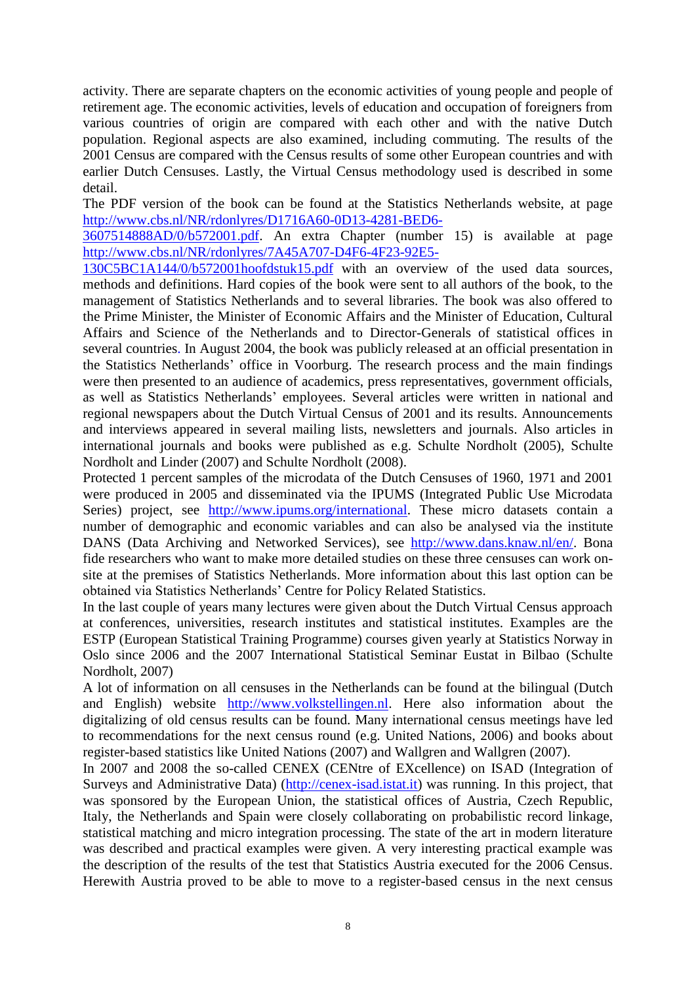activity. There are separate chapters on the economic activities of young people and people of retirement age. The economic activities, levels of education and occupation of foreigners from various countries of origin are compared with each other and with the native Dutch population. Regional aspects are also examined, including commuting. The results of the 2001 Census are compared with the Census results of some other European countries and with earlier Dutch Censuses. Lastly, the Virtual Census methodology used is described in some detail.

The PDF version of the book can be found at the Statistics Netherlands website, at page [http://www.cbs.nl/NR/rdonlyres/D1716A60-0D13-4281-BED6-](http://www.cbs.nl/NR/rdonlyres/D1716A60-0D13-4281-BED6-3607514888AD/0/b572001.pdf)

[3607514888AD/0/b572001.pdf.](http://www.cbs.nl/NR/rdonlyres/D1716A60-0D13-4281-BED6-3607514888AD/0/b572001.pdf) An extra Chapter (number 15) is available at page [http://www.cbs.nl/NR/rdonlyres/7A45A707-D4F6-4F23-92E5-](http://www.cbs.nl/NR/rdonlyres/7A45A707-D4F6-4F23-92E5-130C5BC1A144/0/b572001hoofdstuk15.pdf)

[130C5BC1A144/0/b572001hoofdstuk15.pdf](http://www.cbs.nl/NR/rdonlyres/7A45A707-D4F6-4F23-92E5-130C5BC1A144/0/b572001hoofdstuk15.pdf) with an overview of the used data sources, methods and definitions. Hard copies of the book were sent to all authors of the book, to the management of Statistics Netherlands and to several libraries. The book was also offered to the Prime Minister, the Minister of Economic Affairs and the Minister of Education, Cultural Affairs and Science of the Netherlands and to Director-Generals of statistical offices in several countries. In August 2004, the book was publicly released at an official presentation in the Statistics Netherlands' office in Voorburg. The research process and the main findings were then presented to an audience of academics, press representatives, government officials, as well as Statistics Netherlands' employees. Several articles were written in national and regional newspapers about the Dutch Virtual Census of 2001 and its results. Announcements and interviews appeared in several mailing lists, newsletters and journals. Also articles in international journals and books were published as e.g. Schulte Nordholt (2005), Schulte Nordholt and Linder (2007) and Schulte Nordholt (2008).

Protected 1 percent samples of the microdata of the Dutch Censuses of 1960, 1971 and 2001 were produced in 2005 and disseminated via the IPUMS (Integrated Public Use Microdata Series) project, see [http://www.ipums.org/international.](http://www.ipums.org/international) These micro datasets contain a number of demographic and economic variables and can also be analysed via the institute DANS (Data Archiving and Networked Services), see [http://www.dans.knaw.nl/en/.](http://www.dans.knaw.nl/en/) Bona fide researchers who want to make more detailed studies on these three censuses can work onsite at the premises of Statistics Netherlands. More information about this last option can be obtained via Statistics Netherlands' Centre for Policy Related Statistics.

In the last couple of years many lectures were given about the Dutch Virtual Census approach at conferences, universities, research institutes and statistical institutes. Examples are the ESTP (European Statistical Training Programme) courses given yearly at Statistics Norway in Oslo since 2006 and the 2007 International Statistical Seminar Eustat in Bilbao (Schulte Nordholt, 2007)

A lot of information on all censuses in the Netherlands can be found at the bilingual (Dutch and English) website [http://www.volkstellingen.nl.](http://www.volkstellingen.nl/) Here also information about the digitalizing of old census results can be found. Many international census meetings have led to recommendations for the next census round (e.g. United Nations, 2006) and books about register-based statistics like United Nations (2007) and Wallgren and Wallgren (2007).

In 2007 and 2008 the so-called CENEX (CENtre of EXcellence) on ISAD (Integration of Surveys and Administrative Data) [\(http://cenex-isad.istat.it\)](http://cenex-isad.istat.it/) was running. In this project, that was sponsored by the European Union, the statistical offices of Austria, Czech Republic, Italy, the Netherlands and Spain were closely collaborating on probabilistic record linkage, statistical matching and micro integration processing. The state of the art in modern literature was described and practical examples were given. A very interesting practical example was the description of the results of the test that Statistics Austria executed for the 2006 Census. Herewith Austria proved to be able to move to a register-based census in the next census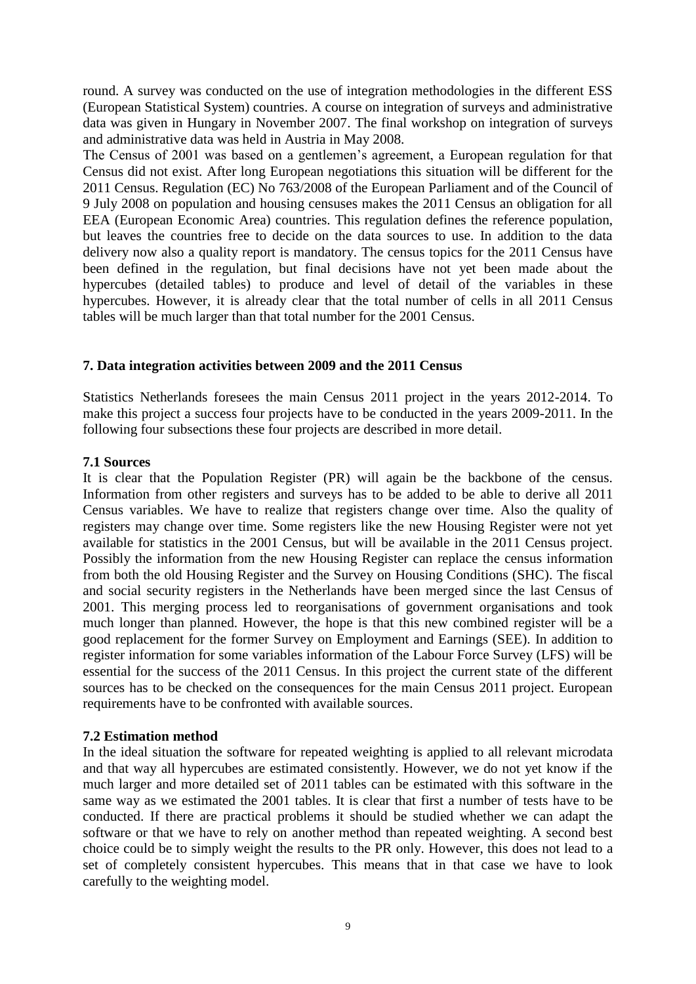round. A survey was conducted on the use of integration methodologies in the different ESS (European Statistical System) countries. A course on integration of surveys and administrative data was given in Hungary in November 2007. The final workshop on integration of surveys and administrative data was held in Austria in May 2008.

The Census of 2001 was based on a gentlemen's agreement, a European regulation for that Census did not exist. After long European negotiations this situation will be different for the 2011 Census. Regulation (EC) No 763/2008 of the European Parliament and of the Council of 9 July 2008 on population and housing censuses makes the 2011 Census an obligation for all EEA (European Economic Area) countries. This regulation defines the reference population, but leaves the countries free to decide on the data sources to use. In addition to the data delivery now also a quality report is mandatory. The census topics for the 2011 Census have been defined in the regulation, but final decisions have not yet been made about the hypercubes (detailed tables) to produce and level of detail of the variables in these hypercubes. However, it is already clear that the total number of cells in all 2011 Census tables will be much larger than that total number for the 2001 Census.

## **7. Data integration activities between 2009 and the 2011 Census**

Statistics Netherlands foresees the main Census 2011 project in the years 2012-2014. To make this project a success four projects have to be conducted in the years 2009-2011. In the following four subsections these four projects are described in more detail.

### **7.1 Sources**

It is clear that the Population Register (PR) will again be the backbone of the census. Information from other registers and surveys has to be added to be able to derive all 2011 Census variables. We have to realize that registers change over time. Also the quality of registers may change over time. Some registers like the new Housing Register were not yet available for statistics in the 2001 Census, but will be available in the 2011 Census project. Possibly the information from the new Housing Register can replace the census information from both the old Housing Register and the Survey on Housing Conditions (SHC). The fiscal and social security registers in the Netherlands have been merged since the last Census of 2001. This merging process led to reorganisations of government organisations and took much longer than planned. However, the hope is that this new combined register will be a good replacement for the former Survey on Employment and Earnings (SEE). In addition to register information for some variables information of the Labour Force Survey (LFS) will be essential for the success of the 2011 Census. In this project the current state of the different sources has to be checked on the consequences for the main Census 2011 project. European requirements have to be confronted with available sources.

# **7.2 Estimation method**

In the ideal situation the software for repeated weighting is applied to all relevant microdata and that way all hypercubes are estimated consistently. However, we do not yet know if the much larger and more detailed set of 2011 tables can be estimated with this software in the same way as we estimated the 2001 tables. It is clear that first a number of tests have to be conducted. If there are practical problems it should be studied whether we can adapt the software or that we have to rely on another method than repeated weighting. A second best choice could be to simply weight the results to the PR only. However, this does not lead to a set of completely consistent hypercubes. This means that in that case we have to look carefully to the weighting model.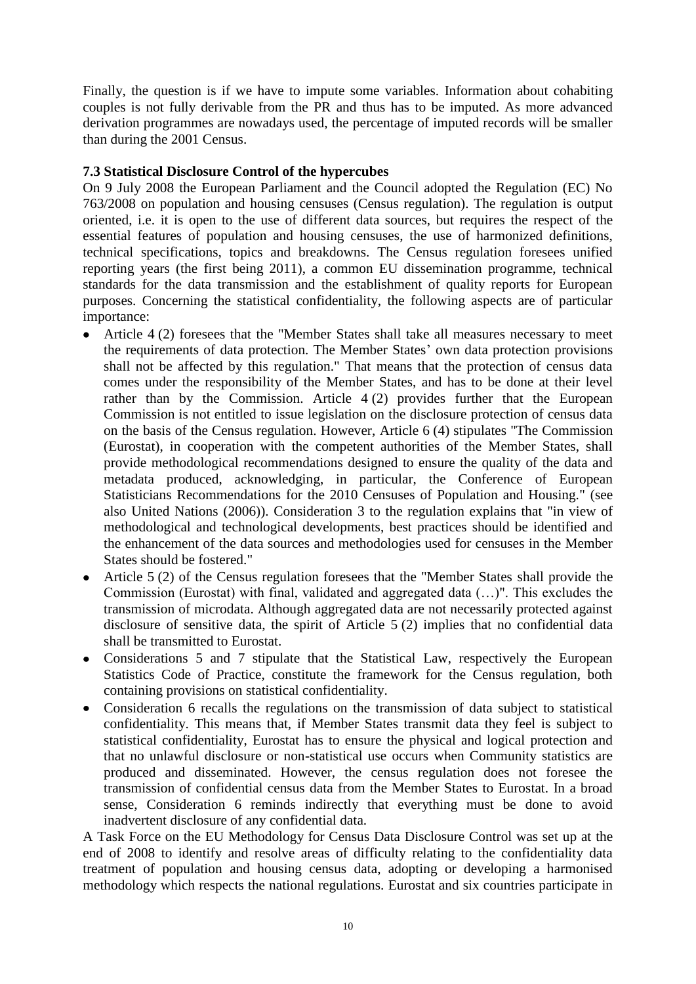Finally, the question is if we have to impute some variables. Information about cohabiting couples is not fully derivable from the PR and thus has to be imputed. As more advanced derivation programmes are nowadays used, the percentage of imputed records will be smaller than during the 2001 Census.

# **7.3 Statistical Disclosure Control of the hypercubes**

On 9 July 2008 the European Parliament and the Council adopted the Regulation (EC) No 763/2008 on population and housing censuses (Census regulation). The regulation is output oriented, i.e. it is open to the use of different data sources, but requires the respect of the essential features of population and housing censuses, the use of harmonized definitions, technical specifications, topics and breakdowns. The Census regulation foresees unified reporting years (the first being 2011), a common EU dissemination programme, technical standards for the data transmission and the establishment of quality reports for European purposes. Concerning the statistical confidentiality, the following aspects are of particular importance:

- Article 4 (2) foresees that the "Member States shall take all measures necessary to meet  $\bullet$ the requirements of data protection. The Member States' own data protection provisions shall not be affected by this regulation." That means that the protection of census data comes under the responsibility of the Member States, and has to be done at their level rather than by the Commission. Article 4 (2) provides further that the European Commission is not entitled to issue legislation on the disclosure protection of census data on the basis of the Census regulation. However, Article 6 (4) stipulates "The Commission (Eurostat), in cooperation with the competent authorities of the Member States, shall provide methodological recommendations designed to ensure the quality of the data and metadata produced, acknowledging, in particular, the Conference of European Statisticians Recommendations for the 2010 Censuses of Population and Housing." (see also United Nations (2006)). Consideration 3 to the regulation explains that "in view of methodological and technological developments, best practices should be identified and the enhancement of the data sources and methodologies used for censuses in the Member States should be fostered."
- Article 5 (2) of the Census regulation foresees that the "Member States shall provide the Commission (Eurostat) with final, validated and aggregated data (…)". This excludes the transmission of microdata. Although aggregated data are not necessarily protected against disclosure of sensitive data, the spirit of Article 5 (2) implies that no confidential data shall be transmitted to Eurostat.
- Considerations 5 and 7 stipulate that the Statistical Law, respectively the European Statistics Code of Practice, constitute the framework for the Census regulation, both containing provisions on statistical confidentiality.
- Consideration 6 recalls the regulations on the transmission of data subject to statistical confidentiality. This means that, if Member States transmit data they feel is subject to statistical confidentiality, Eurostat has to ensure the physical and logical protection and that no unlawful disclosure or non-statistical use occurs when Community statistics are produced and disseminated. However, the census regulation does not foresee the transmission of confidential census data from the Member States to Eurostat. In a broad sense, Consideration 6 reminds indirectly that everything must be done to avoid inadvertent disclosure of any confidential data.

A Task Force on the EU Methodology for Census Data Disclosure Control was set up at the end of 2008 to identify and resolve areas of difficulty relating to the confidentiality data treatment of population and housing census data, adopting or developing a harmonised methodology which respects the national regulations. Eurostat and six countries participate in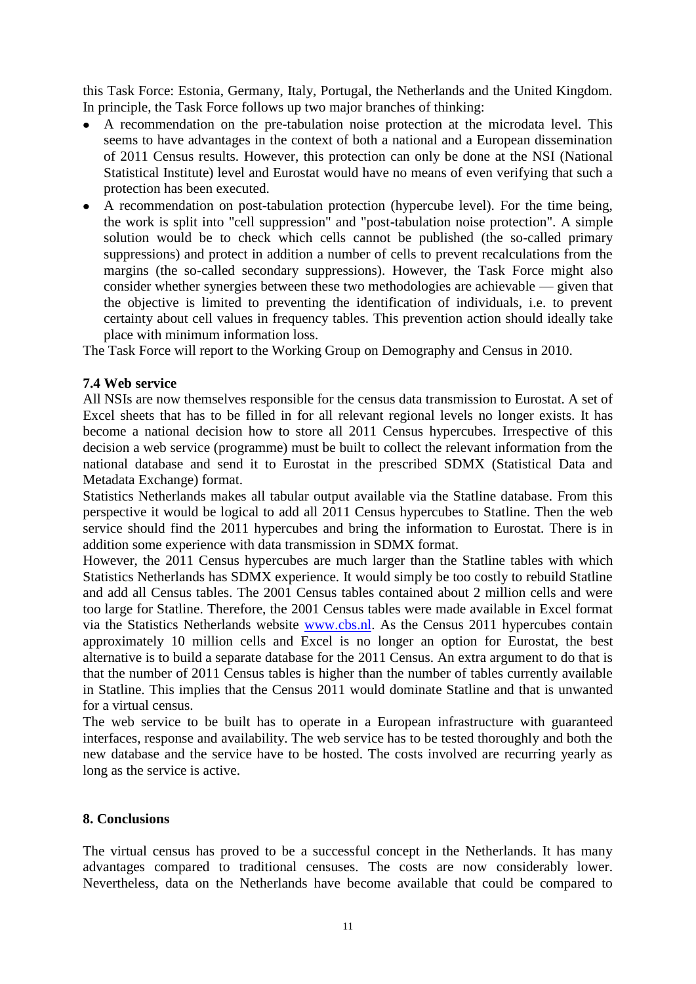this Task Force: Estonia, Germany, Italy, Portugal, the Netherlands and the United Kingdom. In principle, the Task Force follows up two major branches of thinking:

- A recommendation on the pre-tabulation noise protection at the microdata level. This seems to have advantages in the context of both a national and a European dissemination of 2011 Census results. However, this protection can only be done at the NSI (National Statistical Institute) level and Eurostat would have no means of even verifying that such a protection has been executed.
- A recommendation on post-tabulation protection (hypercube level). For the time being, the work is split into "cell suppression" and "post-tabulation noise protection". A simple solution would be to check which cells cannot be published (the so-called primary suppressions) and protect in addition a number of cells to prevent recalculations from the margins (the so-called secondary suppressions). However, the Task Force might also consider whether synergies between these two methodologies are achievable — given that the objective is limited to preventing the identification of individuals, i.e. to prevent certainty about cell values in frequency tables. This prevention action should ideally take place with minimum information loss.

The Task Force will report to the Working Group on Demography and Census in 2010.

## **7.4 Web service**

All NSIs are now themselves responsible for the census data transmission to Eurostat. A set of Excel sheets that has to be filled in for all relevant regional levels no longer exists. It has become a national decision how to store all 2011 Census hypercubes. Irrespective of this decision a web service (programme) must be built to collect the relevant information from the national database and send it to Eurostat in the prescribed SDMX (Statistical Data and Metadata Exchange) format.

Statistics Netherlands makes all tabular output available via the Statline database. From this perspective it would be logical to add all 2011 Census hypercubes to Statline. Then the web service should find the 2011 hypercubes and bring the information to Eurostat. There is in addition some experience with data transmission in SDMX format.

However, the 2011 Census hypercubes are much larger than the Statline tables with which Statistics Netherlands has SDMX experience. It would simply be too costly to rebuild Statline and add all Census tables. The 2001 Census tables contained about 2 million cells and were too large for Statline. Therefore, the 2001 Census tables were made available in Excel format via the Statistics Netherlands website [www.cbs.nl.](http://www.cbs.nl/) As the Census 2011 hypercubes contain approximately 10 million cells and Excel is no longer an option for Eurostat, the best alternative is to build a separate database for the 2011 Census. An extra argument to do that is that the number of 2011 Census tables is higher than the number of tables currently available in Statline. This implies that the Census 2011 would dominate Statline and that is unwanted for a virtual census.

The web service to be built has to operate in a European infrastructure with guaranteed interfaces, response and availability. The web service has to be tested thoroughly and both the new database and the service have to be hosted. The costs involved are recurring yearly as long as the service is active.

### **8. Conclusions**

The virtual census has proved to be a successful concept in the Netherlands. It has many advantages compared to traditional censuses. The costs are now considerably lower. Nevertheless, data on the Netherlands have become available that could be compared to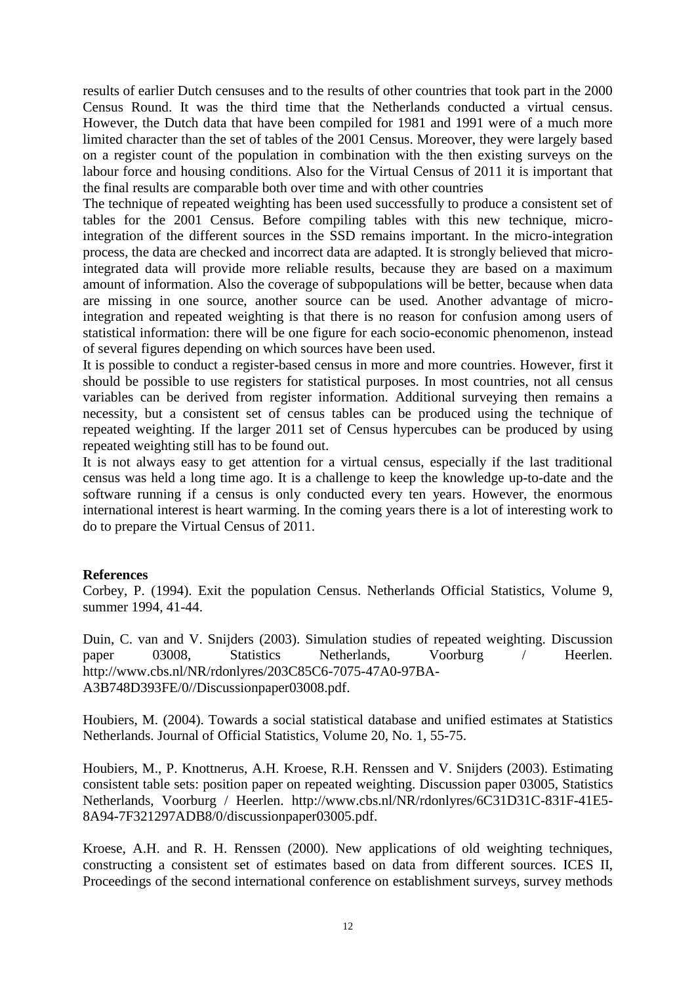results of earlier Dutch censuses and to the results of other countries that took part in the 2000 Census Round. It was the third time that the Netherlands conducted a virtual census. However, the Dutch data that have been compiled for 1981 and 1991 were of a much more limited character than the set of tables of the 2001 Census. Moreover, they were largely based on a register count of the population in combination with the then existing surveys on the labour force and housing conditions. Also for the Virtual Census of 2011 it is important that the final results are comparable both over time and with other countries

The technique of repeated weighting has been used successfully to produce a consistent set of tables for the 2001 Census. Before compiling tables with this new technique, microintegration of the different sources in the SSD remains important. In the micro-integration process, the data are checked and incorrect data are adapted. It is strongly believed that microintegrated data will provide more reliable results, because they are based on a maximum amount of information. Also the coverage of subpopulations will be better, because when data are missing in one source, another source can be used. Another advantage of microintegration and repeated weighting is that there is no reason for confusion among users of statistical information: there will be one figure for each socio-economic phenomenon, instead of several figures depending on which sources have been used.

It is possible to conduct a register-based census in more and more countries. However, first it should be possible to use registers for statistical purposes. In most countries, not all census variables can be derived from register information. Additional surveying then remains a necessity, but a consistent set of census tables can be produced using the technique of repeated weighting. If the larger 2011 set of Census hypercubes can be produced by using repeated weighting still has to be found out.

It is not always easy to get attention for a virtual census, especially if the last traditional census was held a long time ago. It is a challenge to keep the knowledge up-to-date and the software running if a census is only conducted every ten years. However, the enormous international interest is heart warming. In the coming years there is a lot of interesting work to do to prepare the Virtual Census of 2011.

### **References**

Corbey, P. (1994). Exit the population Census. Netherlands Official Statistics, Volume 9, summer 1994, 41-44.

Duin, C. van and V. Snijders (2003). Simulation studies of repeated weighting. Discussion paper 03008, Statistics Netherlands, Voorburg / Heerlen. [http://www.cbs.nl/NR/rdonlyres/203C85C6-7075-47A0-97BA-](http://www.cbs.nl/NR/rdonlyres/203C85C6-7075-47A0-97BA-A3B748D393FE/0/Discussionpaper03008.pdf)[A3B748D393FE/0//Discussionpaper03008.pdf.](http://www.cbs.nl/NR/rdonlyres/203C85C6-7075-47A0-97BA-A3B748D393FE/0/Discussionpaper03008.pdf)

Houbiers, M. (2004). Towards a social statistical database and unified estimates at Statistics Netherlands. Journal of Official Statistics, Volume 20, No. 1, 55-75.

Houbiers, M., P. Knottnerus, A.H. Kroese, R.H. Renssen and V. Snijders (2003). Estimating consistent table sets: position paper on repeated weighting. Discussion paper 03005, Statistics Netherlands, Voorburg / Heerlen. [http://www.cbs.nl/NR/rdonlyres/6C31D31C-831F-41E5-](http://www.cbs.nl/NR/rdonlyres/6C31D31C-831F-41E5-8A94-7F321297ADB8/0/discussionpaper03005.pdf) [8A94-7F321297ADB8/0/discussionpaper03005.pdf.](http://www.cbs.nl/NR/rdonlyres/6C31D31C-831F-41E5-8A94-7F321297ADB8/0/discussionpaper03005.pdf)

Kroese, A.H. and R. H. Renssen (2000). New applications of old weighting techniques, constructing a consistent set of estimates based on data from different sources. ICES II, Proceedings of the second international conference on establishment surveys, survey methods